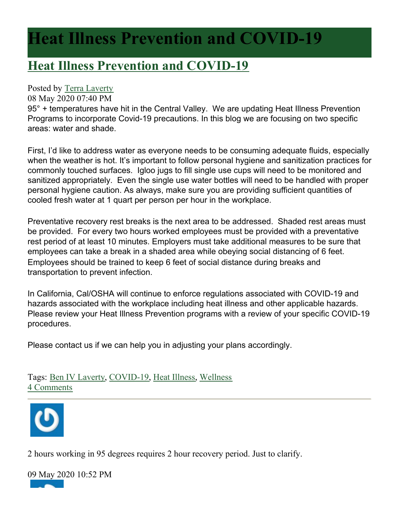## **Heat Illness Prevention and COVID-19**

## **[Heat Illness Prevention and COVID-19](https://www.cstcsafety.com/blog/heat-illness-prevention-and-covid-19)**

## Posted by [Terra Laverty](http://www.cstcsafety.com/index.cfm#)

08 May 2020 07:40 PM

95° + temperatures have hit in the Central Valley. We are updating Heat Illness Prevention Programs to incorporate Covid-19 precautions. In this blog we are focusing on two specific areas: water and shade.

First, I'd like to address water as everyone needs to be consuming adequate fluids, especially when the weather is hot. It's important to follow personal hygiene and sanitization practices for commonly touched surfaces. Igloo jugs to fill single use cups will need to be monitored and sanitized appropriately. Even the single use water bottles will need to be handled with proper personal hygiene caution. As always, make sure you are providing sufficient quantities of cooled fresh water at 1 quart per person per hour in the workplace.

Preventative recovery rest breaks is the next area to be addressed. Shaded rest areas must be provided. For every two hours worked employees must be provided with a preventative rest period of at least 10 minutes. Employers must take additional measures to be sure that employees can take a break in a shaded area while obeying social distancing of 6 feet. Employees should be trained to keep 6 feet of social distance during breaks and transportation to prevent infection.

In California, Cal/OSHA will continue to enforce regulations associated with COVID-19 and hazards associated with the workplace including heat illness and other applicable hazards. Please review your Heat Illness Prevention programs with a review of your specific COVID-19 procedures.

Please contact us if we can help you in adjusting your plans accordingly.

Tags: [Ben IV Laverty](https://www.cstcsafety.com/blog/category/ben-iv-laverty), [COVID-19](https://www.cstcsafety.com/blog/category/covid-19), [Heat Illness](https://www.cstcsafety.com/blog/category/heat-illness), [Wellness](https://www.cstcsafety.com/blog/category/wellness) [4 Comments](https://www.cstcsafety.com/blog/heat-illness-prevention-and-covid-19#comments)



2 hours working in 95 degrees requires 2 hour recovery period. Just to clarify.

09 May 2020 10:52 PM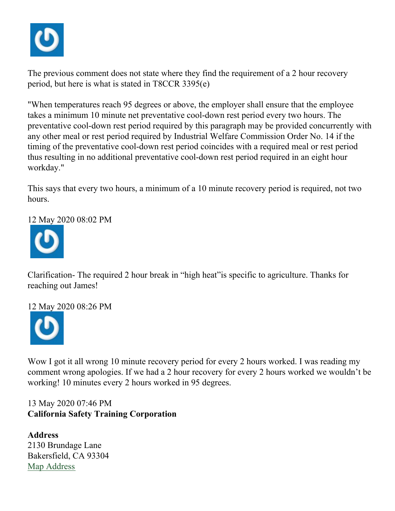

The previous comment does not state where they find the requirement of a 2 hour recovery period, but here is what is stated in T8CCR 3395(e)

"When temperatures reach 95 degrees or above, the employer shall ensure that the employee takes a minimum 10 minute net preventative cool-down rest period every two hours. The preventative cool-down rest period required by this paragraph may be provided concurrently with any other meal or rest period required by Industrial Welfare Commission Order No. 14 if the timing of the preventative cool-down rest period coincides with a required meal or rest period thus resulting in no additional preventative cool-down rest period required in an eight hour workday."

This says that every two hours, a minimum of a 10 minute recovery period is required, not two hours.

12 May 2020 08:02 PM



Clarification- The required 2 hour break in "high heat"is specific to agriculture. Thanks for reaching out James!

12 May 2020 08:26 PM



Wow I got it all wrong 10 minute recovery period for every 2 hours worked. I was reading my comment wrong apologies. If we had a 2 hour recovery for every 2 hours worked we wouldn't be working! 10 minutes every 2 hours worked in 95 degrees.

13 May 2020 07:46 PM **California Safety Training Corporation**

**Address** 2130 Brundage Lane Bakersfield, CA 93304 [Map Address](https://maps.google.com/maps?q=2130%20Brundage%20Lane%2C%20Bakersfield%2C%20CA%2093304)